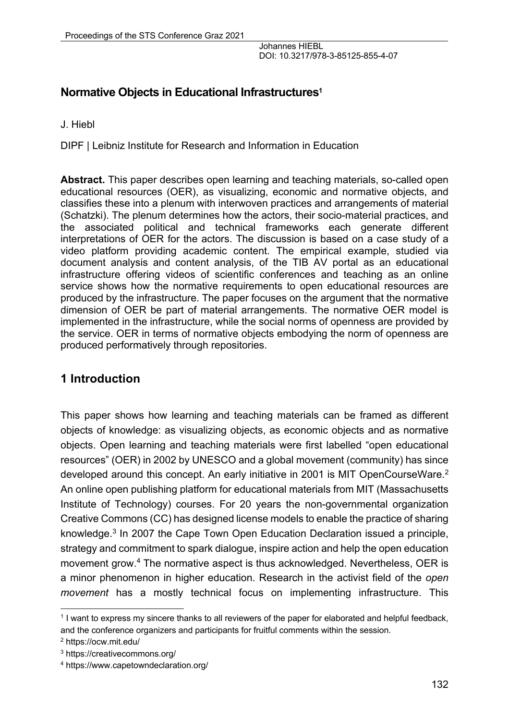# **Normative Objects in Educational Infrastructures1**

J. Hiebl

DIPF | Leibniz Institute for Research and Information in Education

**Abstract.** This paper describes open learning and teaching materials, so-called open educational resources (OER), as visualizing, economic and normative objects, and classifies these into a plenum with interwoven practices and arrangements of material (Schatzki). The plenum determines how the actors, their socio-material practices, and the associated political and technical frameworks each generate different interpretations of OER for the actors. The discussion is based on a case study of a video platform providing academic content. The empirical example, studied via document analysis and content analysis, of the TIB AV portal as an educational infrastructure offering videos of scientific conferences and teaching as an online service shows how the normative requirements to open educational resources are produced by the infrastructure. The paper focuses on the argument that the normative dimension of OER be part of material arrangements. The normative OER model is implemented in the infrastructure, while the social norms of openness are provided by the service. OER in terms of normative objects embodying the norm of openness are produced performatively through repositories.

## **1 Introduction**

This paper shows how learning and teaching materials can be framed as different objects of knowledge: as visualizing objects, as economic objects and as normative objects. Open learning and teaching materials were first labelled "open educational resources" (OER) in 2002 by UNESCO and a global movement (community) has since developed around this concept. An early initiative in 2001 is MIT OpenCourseWare.<sup>2</sup> An online open publishing platform for educational materials from MIT (Massachusetts Institute of Technology) courses. For 20 years the non-governmental organization Creative Commons (CC) has designed license models to enable the practice of sharing knowledge.3 In 2007 the Cape Town Open Education Declaration issued a principle, strategy and commitment to spark dialogue, inspire action and help the open education movement grow.4 The normative aspect is thus acknowledged. Nevertheless, OER is a minor phenomenon in higher education. Research in the activist field of the *open movement* has a mostly technical focus on implementing infrastructure. This

<sup>&</sup>lt;sup>1</sup> I want to express my sincere thanks to all reviewers of the paper for elaborated and helpful feedback, and the conference organizers and participants for fruitful comments within the session.

<sup>2</sup> https://ocw.mit.edu/

<sup>3</sup> https://creativecommons.org/

<sup>4</sup> https://www.capetowndeclaration.org/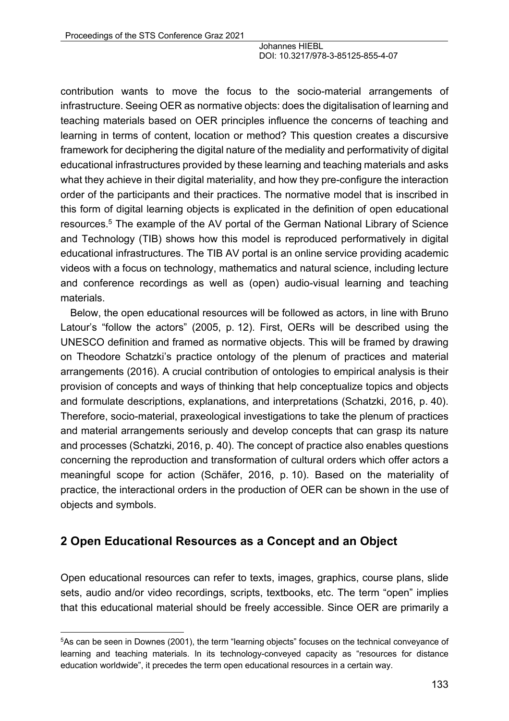contribution wants to move the focus to the socio-material arrangements of infrastructure. Seeing OER as normative objects: does the digitalisation of learning and teaching materials based on OER principles influence the concerns of teaching and learning in terms of content, location or method? This question creates a discursive framework for deciphering the digital nature of the mediality and performativity of digital educational infrastructures provided by these learning and teaching materials and asks what they achieve in their digital materiality, and how they pre-configure the interaction order of the participants and their practices. The normative model that is inscribed in this form of digital learning objects is explicated in the definition of open educational resources.5 The example of the AV portal of the German National Library of Science and Technology (TIB) shows how this model is reproduced performatively in digital educational infrastructures. The TIB AV portal is an online service providing academic videos with a focus on technology, mathematics and natural science, including lecture and conference recordings as well as (open) audio-visual learning and teaching materials.

Below, the open educational resources will be followed as actors, in line with Bruno Latour's "follow the actors" (2005, p. 12). First, OERs will be described using the UNESCO definition and framed as normative objects. This will be framed by drawing on Theodore Schatzki's practice ontology of the plenum of practices and material arrangements (2016). A crucial contribution of ontologies to empirical analysis is their provision of concepts and ways of thinking that help conceptualize topics and objects and formulate descriptions, explanations, and interpretations (Schatzki, 2016, p. 40). Therefore, socio-material, praxeological investigations to take the plenum of practices and material arrangements seriously and develop concepts that can grasp its nature and processes (Schatzki, 2016, p. 40). The concept of practice also enables questions concerning the reproduction and transformation of cultural orders which offer actors a meaningful scope for action (Schäfer, 2016, p. 10). Based on the materiality of practice, the interactional orders in the production of OER can be shown in the use of objects and symbols.

## **2 Open Educational Resources as a Concept and an Object**

Open educational resources can refer to texts, images, graphics, course plans, slide sets, audio and/or video recordings, scripts, textbooks, etc. The term "open" implies that this educational material should be freely accessible. Since OER are primarily a

<sup>&</sup>lt;sup>5</sup>As can be seen in Downes (2001), the term "learning objects" focuses on the technical conveyance of learning and teaching materials. In its technology-conveyed capacity as "resources for distance education worldwide", it precedes the term open educational resources in a certain way.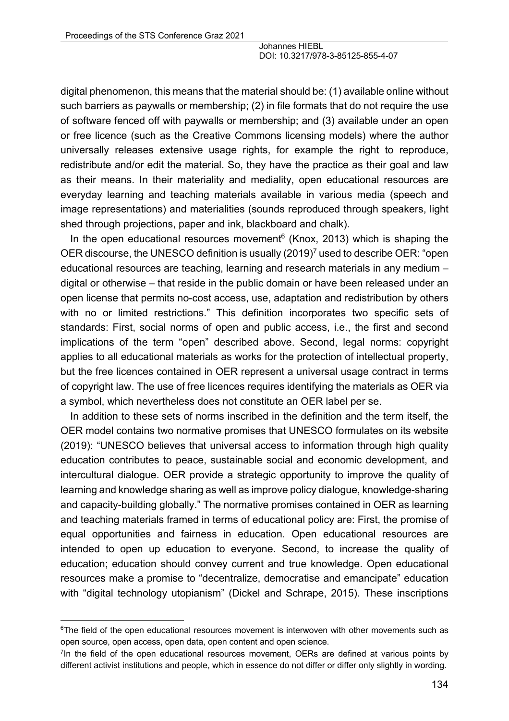digital phenomenon, this means that the material should be: (1) available online without such barriers as paywalls or membership; (2) in file formats that do not require the use of software fenced off with paywalls or membership; and (3) available under an open or free licence (such as the Creative Commons licensing models) where the author universally releases extensive usage rights, for example the right to reproduce, redistribute and/or edit the material. So, they have the practice as their goal and law as their means. In their materiality and mediality, open educational resources are everyday learning and teaching materials available in various media (speech and image representations) and materialities (sounds reproduced through speakers, light shed through projections, paper and ink, blackboard and chalk).

In the open educational resources movement<sup>6</sup> (Knox, 2013) which is shaping the OER discourse, the UNESCO definition is usually (2019)<sup>7</sup> used to describe OER: "open educational resources are teaching, learning and research materials in any medium – digital or otherwise – that reside in the public domain or have been released under an open license that permits no-cost access, use, adaptation and redistribution by others with no or limited restrictions." This definition incorporates two specific sets of standards: First, social norms of open and public access, i.e., the first and second implications of the term "open" described above. Second, legal norms: copyright applies to all educational materials as works for the protection of intellectual property, but the free licences contained in OER represent a universal usage contract in terms of copyright law. The use of free licences requires identifying the materials as OER via a symbol, which nevertheless does not constitute an OER label per se.

In addition to these sets of norms inscribed in the definition and the term itself, the OER model contains two normative promises that UNESCO formulates on its website (2019): "UNESCO believes that universal access to information through high quality education contributes to peace, sustainable social and economic development, and intercultural dialogue. OER provide a strategic opportunity to improve the quality of learning and knowledge sharing as well as improve policy dialogue, knowledge-sharing and capacity-building globally." The normative promises contained in OER as learning and teaching materials framed in terms of educational policy are: First, the promise of equal opportunities and fairness in education. Open educational resources are intended to open up education to everyone. Second, to increase the quality of education; education should convey current and true knowledge. Open educational resources make a promise to "decentralize, democratise and emancipate" education with "digital technology utopianism" (Dickel and Schrape, 2015). These inscriptions

<sup>&</sup>lt;sup>6</sup>The field of the open educational resources movement is interwoven with other movements such as open source, open access, open data, open content and open science.

 $7$ In the field of the open educational resources movement, OERs are defined at various points by different activist institutions and people, which in essence do not differ or differ only slightly in wording.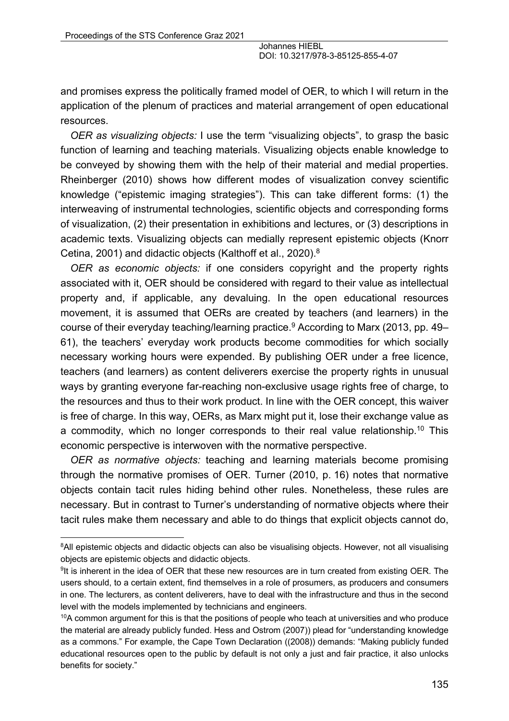and promises express the politically framed model of OER, to which I will return in the application of the plenum of practices and material arrangement of open educational resources.

*OER as visualizing objects:* I use the term "visualizing objects", to grasp the basic function of learning and teaching materials. Visualizing objects enable knowledge to be conveyed by showing them with the help of their material and medial properties. Rheinberger (2010) shows how different modes of visualization convey scientific knowledge ("epistemic imaging strategies"). This can take different forms: (1) the interweaving of instrumental technologies, scientific objects and corresponding forms of visualization, (2) their presentation in exhibitions and lectures, or (3) descriptions in academic texts. Visualizing objects can medially represent epistemic objects (Knorr Cetina, 2001) and didactic objects (Kalthoff et al., 2020).<sup>8</sup>

*OER as economic objects:* if one considers copyright and the property rights associated with it, OER should be considered with regard to their value as intellectual property and, if applicable, any devaluing. In the open educational resources movement, it is assumed that OERs are created by teachers (and learners) in the course of their everyday teaching/learning practice.<sup>9</sup> According to Marx (2013, pp. 49– 61), the teachers' everyday work products become commodities for which socially necessary working hours were expended. By publishing OER under a free licence, teachers (and learners) as content deliverers exercise the property rights in unusual ways by granting everyone far-reaching non-exclusive usage rights free of charge, to the resources and thus to their work product. In line with the OER concept, this waiver is free of charge. In this way, OERs, as Marx might put it, lose their exchange value as a commodity, which no longer corresponds to their real value relationship.<sup>10</sup> This economic perspective is interwoven with the normative perspective.

*OER as normative objects:* teaching and learning materials become promising through the normative promises of OER. Turner (2010, p. 16) notes that normative objects contain tacit rules hiding behind other rules. Nonetheless, these rules are necessary. But in contrast to Turner's understanding of normative objects where their tacit rules make them necessary and able to do things that explicit objects cannot do,

<sup>&</sup>lt;sup>8</sup>All epistemic objects and didactic objects can also be visualising objects. However, not all visualising objects are epistemic objects and didactic objects.

<sup>&</sup>lt;sup>9</sup>It is inherent in the idea of OER that these new resources are in turn created from existing OER. The users should, to a certain extent, find themselves in a role of prosumers, as producers and consumers in one. The lecturers, as content deliverers, have to deal with the infrastructure and thus in the second level with the models implemented by technicians and engineers.

<sup>&</sup>lt;sup>10</sup>A common argument for this is that the positions of people who teach at universities and who produce the material are already publicly funded. Hess and Ostrom (2007)) plead for "understanding knowledge as a commons." For example, the Cape Town Declaration ((2008)) demands: "Making publicly funded educational resources open to the public by default is not only a just and fair practice, it also unlocks benefits for society."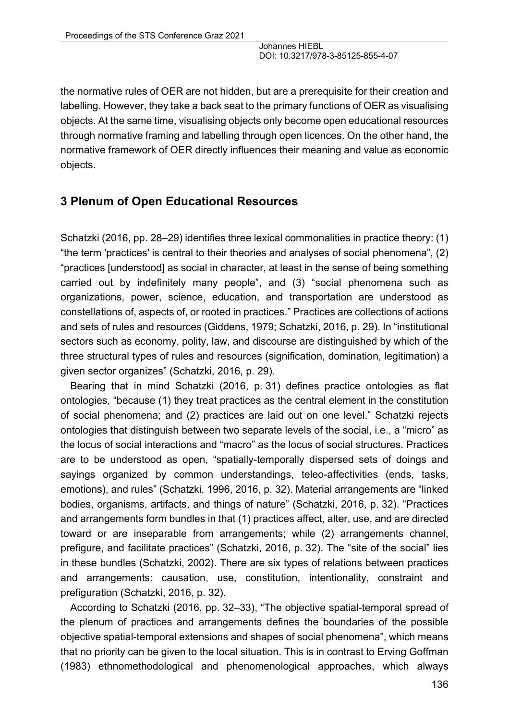the normative rules of OER are not hidden, but are a prerequisite for their creation and labelling. However, they take a back seat to the primary functions of OER as visualising objects. At the same time, visualising objects only become open educational resources through normative framing and labelling through open licences. On the other hand, the normative framework of OER directly influences their meaning and value as economic objects.

### **3 Plenum of Open Educational Resources**

Schatzki (2016, pp. 28–29) identifies three lexical commonalities in practice theory: (1) "the term 'practices' is central to their theories and analyses of social phenomena", (2) "practices [understood] as social in character, at least in the sense of being something carried out by indefinitely many people", and (3) "social phenomena such as organizations, power, science, education, and transportation are understood as constellations of, aspects of, or rooted in practices." Practices are collections of actions and sets of rules and resources (Giddens, 1979; Schatzki, 2016, p. 29). In "institutional sectors such as economy, polity, law, and discourse are distinguished by which of the three structural types of rules and resources (signification, domination, legitimation) a given sector organizes" (Schatzki, 2016, p. 29).

Bearing that in mind Schatzki (2016, p. 31) defines practice ontologies as flat ontologies, "because (1) they treat practices as the central element in the constitution of social phenomena; and (2) practices are laid out on one level." Schatzki rejects ontologies that distinguish between two separate levels of the social, i.e., a "micro" as the locus of social interactions and "macro" as the locus of social structures. Practices are to be understood as open, "spatially-temporally dispersed sets of doings and sayings organized by common understandings, teleo-affectivities (ends, tasks, emotions), and rules" (Schatzki, 1996, 2016, p. 32). Material arrangements are "linked bodies, organisms, artifacts, and things of nature" (Schatzki, 2016, p. 32). "Practices and arrangements form bundles in that (1) practices affect, alter, use, and are directed toward or are inseparable from arrangements; while (2) arrangements channel, prefigure, and facilitate practices" (Schatzki, 2016, p. 32). The "site of the social" lies in these bundles (Schatzki, 2002). There are six types of relations between practices and arrangements: causation, use, constitution, intentionality, constraint and prefiguration (Schatzki, 2016, p. 32).

According to Schatzki (2016, pp. 32–33), "The objective spatial-temporal spread of the plenum of practices and arrangements defines the boundaries of the possible objective spatial-temporal extensions and shapes of social phenomena", which means that no priority can be given to the local situation. This is in contrast to Erving Goffman (1983) ethnomethodological and phenomenological approaches, which always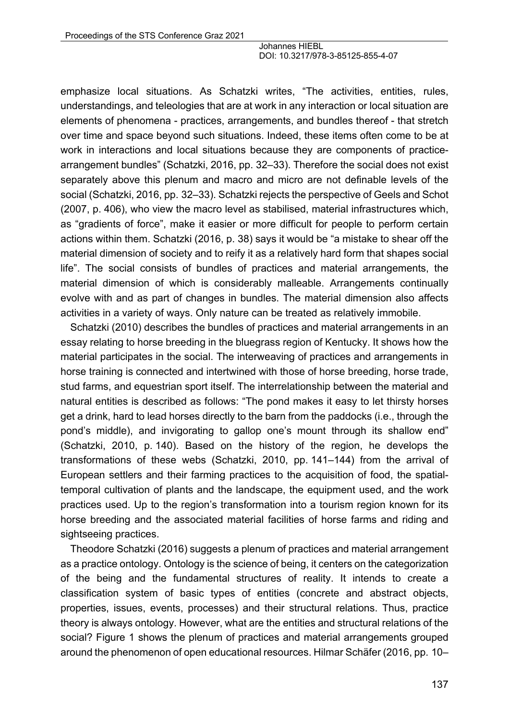emphasize local situations. As Schatzki writes, "The activities, entities, rules, understandings, and teleologies that are at work in any interaction or local situation are elements of phenomena - practices, arrangements, and bundles thereof - that stretch over time and space beyond such situations. Indeed, these items often come to be at work in interactions and local situations because they are components of practicearrangement bundles" (Schatzki, 2016, pp. 32–33). Therefore the social does not exist separately above this plenum and macro and micro are not definable levels of the social (Schatzki, 2016, pp. 32–33). Schatzki rejects the perspective of Geels and Schot (2007, p. 406), who view the macro level as stabilised, material infrastructures which, as "gradients of force", make it easier or more difficult for people to perform certain actions within them. Schatzki (2016, p. 38) says it would be "a mistake to shear off the material dimension of society and to reify it as a relatively hard form that shapes social life". The social consists of bundles of practices and material arrangements, the material dimension of which is considerably malleable. Arrangements continually evolve with and as part of changes in bundles. The material dimension also affects activities in a variety of ways. Only nature can be treated as relatively immobile.

Schatzki (2010) describes the bundles of practices and material arrangements in an essay relating to horse breeding in the bluegrass region of Kentucky. It shows how the material participates in the social. The interweaving of practices and arrangements in horse training is connected and intertwined with those of horse breeding, horse trade, stud farms, and equestrian sport itself. The interrelationship between the material and natural entities is described as follows: "The pond makes it easy to let thirsty horses get a drink, hard to lead horses directly to the barn from the paddocks (i.e., through the pond's middle), and invigorating to gallop one's mount through its shallow end" (Schatzki, 2010, p. 140). Based on the history of the region, he develops the transformations of these webs (Schatzki, 2010, pp. 141–144) from the arrival of European settlers and their farming practices to the acquisition of food, the spatialtemporal cultivation of plants and the landscape, the equipment used, and the work practices used. Up to the region's transformation into a tourism region known for its horse breeding and the associated material facilities of horse farms and riding and sightseeing practices.

Theodore Schatzki (2016) suggests a plenum of practices and material arrangement as a practice ontology. Ontology is the science of being, it centers on the categorization of the being and the fundamental structures of reality. It intends to create a classification system of basic types of entities (concrete and abstract objects, properties, issues, events, processes) and their structural relations. Thus, practice theory is always ontology. However, what are the entities and structural relations of the social? Figure 1 shows the plenum of practices and material arrangements grouped around the phenomenon of open educational resources. Hilmar Schäfer (2016, pp. 10–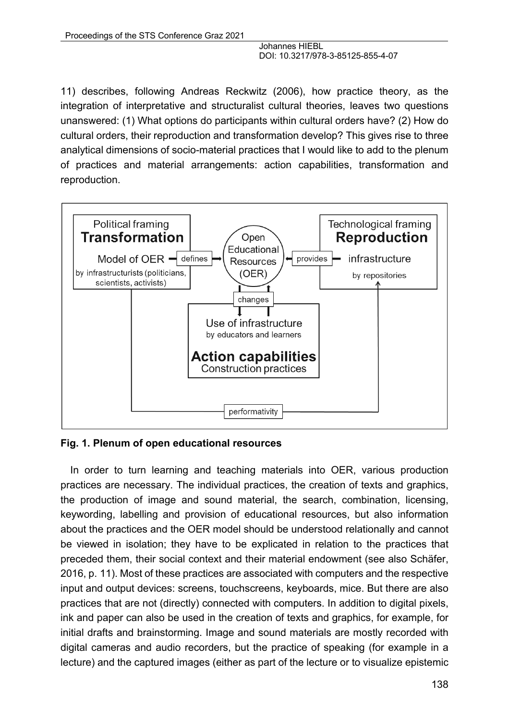11) describes, following Andreas Reckwitz (2006), how practice theory, as the integration of interpretative and structuralist cultural theories, leaves two questions unanswered: (1) What options do participants within cultural orders have? (2) How do cultural orders, their reproduction and transformation develop? This gives rise to three analytical dimensions of socio-material practices that I would like to add to the plenum of practices and material arrangements: action capabilities, transformation and reproduction.



**Fig. 1. Plenum of open educational resources**

In order to turn learning and teaching materials into OER, various production practices are necessary. The individual practices, the creation of texts and graphics, the production of image and sound material, the search, combination, licensing, keywording, labelling and provision of educational resources, but also information about the practices and the OER model should be understood relationally and cannot be viewed in isolation; they have to be explicated in relation to the practices that preceded them, their social context and their material endowment (see also Schäfer, 2016, p. 11). Most of these practices are associated with computers and the respective input and output devices: screens, touchscreens, keyboards, mice. But there are also practices that are not (directly) connected with computers. In addition to digital pixels, ink and paper can also be used in the creation of texts and graphics, for example, for initial drafts and brainstorming. Image and sound materials are mostly recorded with digital cameras and audio recorders, but the practice of speaking (for example in a lecture) and the captured images (either as part of the lecture or to visualize epistemic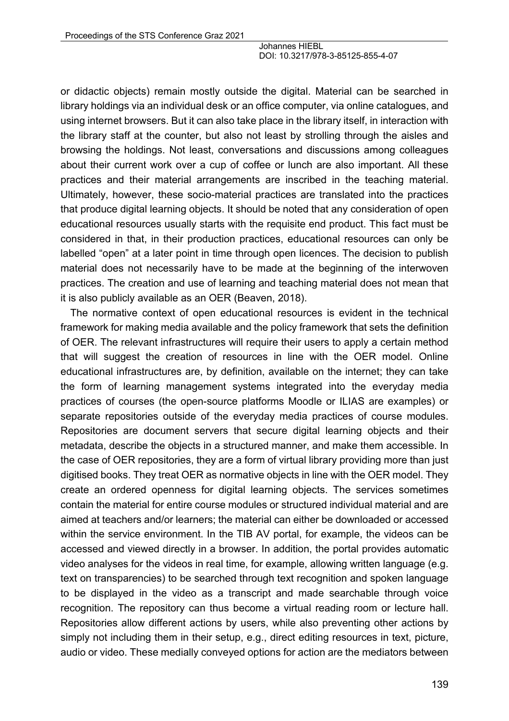or didactic objects) remain mostly outside the digital. Material can be searched in library holdings via an individual desk or an office computer, via online catalogues, and using internet browsers. But it can also take place in the library itself, in interaction with the library staff at the counter, but also not least by strolling through the aisles and browsing the holdings. Not least, conversations and discussions among colleagues about their current work over a cup of coffee or lunch are also important. All these practices and their material arrangements are inscribed in the teaching material. Ultimately, however, these socio-material practices are translated into the practices that produce digital learning objects. It should be noted that any consideration of open educational resources usually starts with the requisite end product. This fact must be considered in that, in their production practices, educational resources can only be labelled "open" at a later point in time through open licences. The decision to publish material does not necessarily have to be made at the beginning of the interwoven practices. The creation and use of learning and teaching material does not mean that it is also publicly available as an OER (Beaven, 2018).

The normative context of open educational resources is evident in the technical framework for making media available and the policy framework that sets the definition of OER. The relevant infrastructures will require their users to apply a certain method that will suggest the creation of resources in line with the OER model. Online educational infrastructures are, by definition, available on the internet; they can take the form of learning management systems integrated into the everyday media practices of courses (the open-source platforms Moodle or ILIAS are examples) or separate repositories outside of the everyday media practices of course modules. Repositories are document servers that secure digital learning objects and their metadata, describe the objects in a structured manner, and make them accessible. In the case of OER repositories, they are a form of virtual library providing more than just digitised books. They treat OER as normative objects in line with the OER model. They create an ordered openness for digital learning objects. The services sometimes contain the material for entire course modules or structured individual material and are aimed at teachers and/or learners; the material can either be downloaded or accessed within the service environment. In the TIB AV portal, for example, the videos can be accessed and viewed directly in a browser. In addition, the portal provides automatic video analyses for the videos in real time, for example, allowing written language (e.g. text on transparencies) to be searched through text recognition and spoken language to be displayed in the video as a transcript and made searchable through voice recognition. The repository can thus become a virtual reading room or lecture hall. Repositories allow different actions by users, while also preventing other actions by simply not including them in their setup, e.g., direct editing resources in text, picture, audio or video. These medially conveyed options for action are the mediators between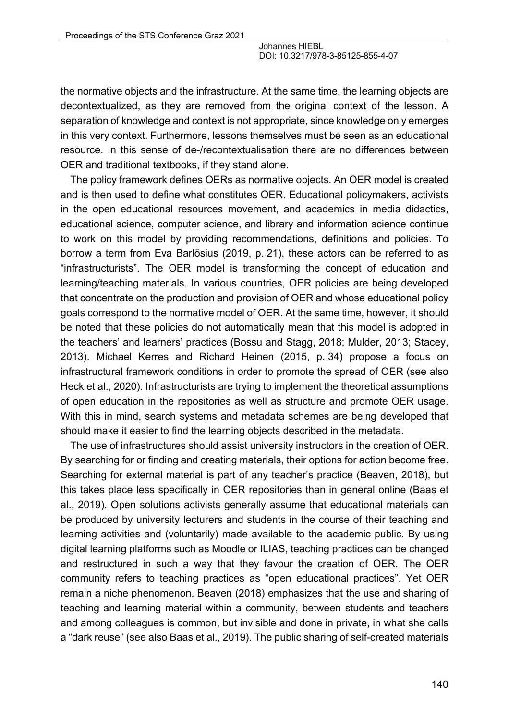the normative objects and the infrastructure. At the same time, the learning objects are decontextualized, as they are removed from the original context of the lesson. A separation of knowledge and context is not appropriate, since knowledge only emerges in this very context. Furthermore, lessons themselves must be seen as an educational resource. In this sense of de-/recontextualisation there are no differences between OER and traditional textbooks, if they stand alone.

The policy framework defines OERs as normative objects. An OER model is created and is then used to define what constitutes OER. Educational policymakers, activists in the open educational resources movement, and academics in media didactics, educational science, computer science, and library and information science continue to work on this model by providing recommendations, definitions and policies. To borrow a term from Eva Barlösius (2019, p. 21), these actors can be referred to as "infrastructurists". The OER model is transforming the concept of education and learning/teaching materials. In various countries, OER policies are being developed that concentrate on the production and provision of OER and whose educational policy goals correspond to the normative model of OER. At the same time, however, it should be noted that these policies do not automatically mean that this model is adopted in the teachers' and learners' practices (Bossu and Stagg, 2018; Mulder, 2013; Stacey, 2013). Michael Kerres and Richard Heinen (2015, p. 34) propose a focus on infrastructural framework conditions in order to promote the spread of OER (see also Heck et al., 2020). Infrastructurists are trying to implement the theoretical assumptions of open education in the repositories as well as structure and promote OER usage. With this in mind, search systems and metadata schemes are being developed that should make it easier to find the learning objects described in the metadata.

The use of infrastructures should assist university instructors in the creation of OER. By searching for or finding and creating materials, their options for action become free. Searching for external material is part of any teacher's practice (Beaven, 2018), but this takes place less specifically in OER repositories than in general online (Baas et al., 2019). Open solutions activists generally assume that educational materials can be produced by university lecturers and students in the course of their teaching and learning activities and (voluntarily) made available to the academic public. By using digital learning platforms such as Moodle or ILIAS, teaching practices can be changed and restructured in such a way that they favour the creation of OER. The OER community refers to teaching practices as "open educational practices". Yet OER remain a niche phenomenon. Beaven (2018) emphasizes that the use and sharing of teaching and learning material within a community, between students and teachers and among colleagues is common, but invisible and done in private, in what she calls a "dark reuse" (see also Baas et al., 2019). The public sharing of self-created materials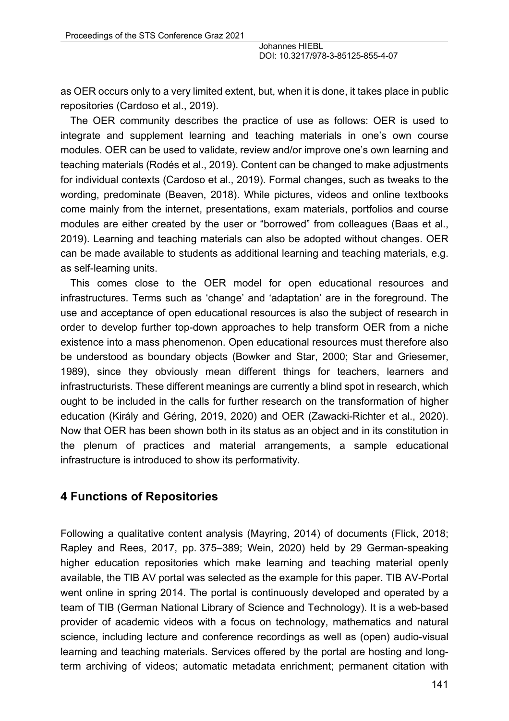as OER occurs only to a very limited extent, but, when it is done, it takes place in public repositories (Cardoso et al., 2019).

The OER community describes the practice of use as follows: OER is used to integrate and supplement learning and teaching materials in one's own course modules. OER can be used to validate, review and/or improve one's own learning and teaching materials (Rodés et al., 2019). Content can be changed to make adjustments for individual contexts (Cardoso et al., 2019). Formal changes, such as tweaks to the wording, predominate (Beaven, 2018). While pictures, videos and online textbooks come mainly from the internet, presentations, exam materials, portfolios and course modules are either created by the user or "borrowed" from colleagues (Baas et al., 2019). Learning and teaching materials can also be adopted without changes. OER can be made available to students as additional learning and teaching materials, e.g. as self-learning units.

This comes close to the OER model for open educational resources and infrastructures. Terms such as 'change' and 'adaptation' are in the foreground. The use and acceptance of open educational resources is also the subject of research in order to develop further top-down approaches to help transform OER from a niche existence into a mass phenomenon. Open educational resources must therefore also be understood as boundary objects (Bowker and Star, 2000; Star and Griesemer, 1989), since they obviously mean different things for teachers, learners and infrastructurists. These different meanings are currently a blind spot in research, which ought to be included in the calls for further research on the transformation of higher education (Király and Géring, 2019, 2020) and OER (Zawacki-Richter et al., 2020). Now that OER has been shown both in its status as an object and in its constitution in the plenum of practices and material arrangements, a sample educational infrastructure is introduced to show its performativity.

### **4 Functions of Repositories**

Following a qualitative content analysis (Mayring, 2014) of documents (Flick, 2018; Rapley and Rees, 2017, pp. 375–389; Wein, 2020) held by 29 German-speaking higher education repositories which make learning and teaching material openly available, the TIB AV portal was selected as the example for this paper. TIB AV-Portal went online in spring 2014. The portal is continuously developed and operated by a team of TIB (German National Library of Science and Technology). It is a web-based provider of academic videos with a focus on technology, mathematics and natural science, including lecture and conference recordings as well as (open) audio-visual learning and teaching materials. Services offered by the portal are hosting and longterm archiving of videos; automatic metadata enrichment; permanent citation with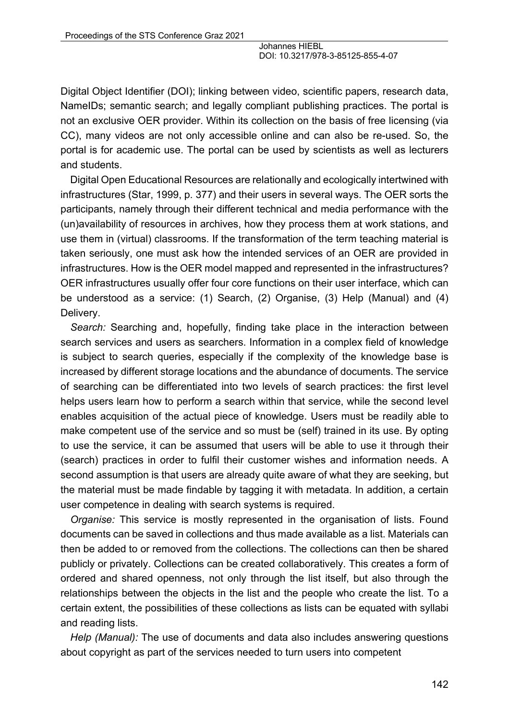Digital Object Identifier (DOI); linking between video, scientific papers, research data, NameIDs; semantic search; and legally compliant publishing practices. The portal is not an exclusive OER provider. Within its collection on the basis of free licensing (via CC), many videos are not only accessible online and can also be re-used. So, the portal is for academic use. The portal can be used by scientists as well as lecturers and students.

Digital Open Educational Resources are relationally and ecologically intertwined with infrastructures (Star, 1999, p. 377) and their users in several ways. The OER sorts the participants, namely through their different technical and media performance with the (un)availability of resources in archives, how they process them at work stations, and use them in (virtual) classrooms. If the transformation of the term teaching material is taken seriously, one must ask how the intended services of an OER are provided in infrastructures. How is the OER model mapped and represented in the infrastructures? OER infrastructures usually offer four core functions on their user interface, which can be understood as a service: (1) Search, (2) Organise, (3) Help (Manual) and (4) Delivery.

*Search:* Searching and, hopefully, finding take place in the interaction between search services and users as searchers. Information in a complex field of knowledge is subject to search queries, especially if the complexity of the knowledge base is increased by different storage locations and the abundance of documents. The service of searching can be differentiated into two levels of search practices: the first level helps users learn how to perform a search within that service, while the second level enables acquisition of the actual piece of knowledge. Users must be readily able to make competent use of the service and so must be (self) trained in its use. By opting to use the service, it can be assumed that users will be able to use it through their (search) practices in order to fulfil their customer wishes and information needs. A second assumption is that users are already quite aware of what they are seeking, but the material must be made findable by tagging it with metadata. In addition, a certain user competence in dealing with search systems is required.

*Organise:* This service is mostly represented in the organisation of lists. Found documents can be saved in collections and thus made available as a list. Materials can then be added to or removed from the collections. The collections can then be shared publicly or privately. Collections can be created collaboratively. This creates a form of ordered and shared openness, not only through the list itself, but also through the relationships between the objects in the list and the people who create the list. To a certain extent, the possibilities of these collections as lists can be equated with syllabi and reading lists.

*Help (Manual):* The use of documents and data also includes answering questions about copyright as part of the services needed to turn users into competent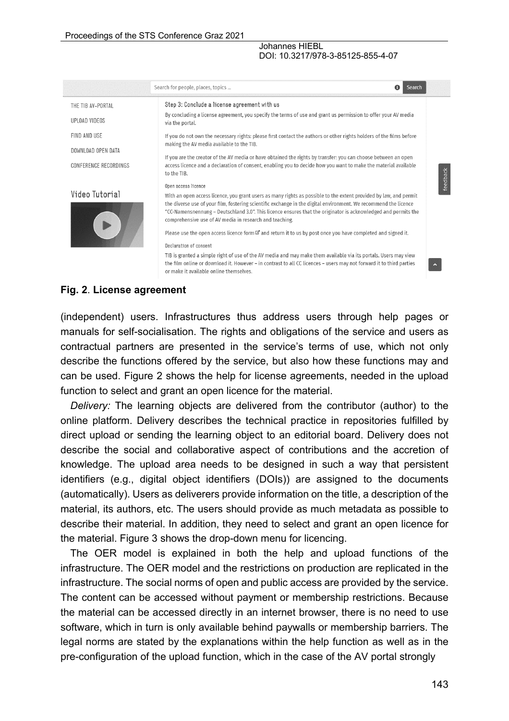|                                             | Search for people, places, topics<br>⊕<br>Search                                                                                                                                                                                                                                                                                                                                                                                          |          |
|---------------------------------------------|-------------------------------------------------------------------------------------------------------------------------------------------------------------------------------------------------------------------------------------------------------------------------------------------------------------------------------------------------------------------------------------------------------------------------------------------|----------|
| THE TIB AV-PORTAL                           | Step 3: Conclude a license agreement with us                                                                                                                                                                                                                                                                                                                                                                                              |          |
| UPLOAD VIDEOS                               | By concluding a license agreement, you specify the terms of use and grant us permission to offer your AV media<br>via the portal.                                                                                                                                                                                                                                                                                                         |          |
| FIND AND USE                                | If you do not own the necessary rights: please first contact the authors or other rights holders of the films before<br>making the AV media available to the TIB.                                                                                                                                                                                                                                                                         |          |
| DOWNLOAD OPEN DATA<br>CONFERENCE RECORDINGS | If you are the creator of the AV media or have obtained the rights by transfer: you can choose between an open<br>access licence and a declaration of consent, enabling you to decide how you want to make the material available<br>to the TIB.                                                                                                                                                                                          |          |
| Video Tutorial                              | Open access licence<br>With an open access licence, you grant users as many rights as possible to the extent provided by law, and permit<br>the diverse use of your film, fostering scientific exchange in the digital environment. We recommend the licence<br>"CC-Namensnennung - Deutschland 3.0". This licence ensures that the originator is acknowledged and permits the<br>comprehensive use of AV media in research and teaching. | feedback |
|                                             | Please use the open access licence form $\mathbb{Z}^n$ and return it to us by post once you have completed and signed it.<br>Declaration of consent                                                                                                                                                                                                                                                                                       |          |
|                                             | TIB is granted a simple right of use of the AV media and may make them available via its portals. Users may view<br>the film online or download it. However - in contrast to all CC licences - users may not forward it to third parties<br>or make it available online themselves.                                                                                                                                                       |          |

### **Fig. 2**. **License agreement**

(independent) users. Infrastructures thus address users through help pages or manuals for self-socialisation. The rights and obligations of the service and users as contractual partners are presented in the service's terms of use, which not only describe the functions offered by the service, but also how these functions may and can be used. Figure 2 shows the help for license agreements, needed in the upload function to select and grant an open licence for the material.

*Delivery:* The learning objects are delivered from the contributor (author) to the online platform. Delivery describes the technical practice in repositories fulfilled by direct upload or sending the learning object to an editorial board. Delivery does not describe the social and collaborative aspect of contributions and the accretion of knowledge. The upload area needs to be designed in such a way that persistent identifiers (e.g., digital object identifiers (DOIs)) are assigned to the documents (automatically). Users as deliverers provide information on the title, a description of the material, its authors, etc. The users should provide as much metadata as possible to describe their material. In addition, they need to select and grant an open licence for the material. Figure 3 shows the drop-down menu for licencing.

The OER model is explained in both the help and upload functions of the infrastructure. The OER model and the restrictions on production are replicated in the infrastructure. The social norms of open and public access are provided by the service. The content can be accessed without payment or membership restrictions. Because the material can be accessed directly in an internet browser, there is no need to use software, which in turn is only available behind paywalls or membership barriers. The legal norms are stated by the explanations within the help function as well as in the pre-configuration of the upload function, which in the case of the AV portal strongly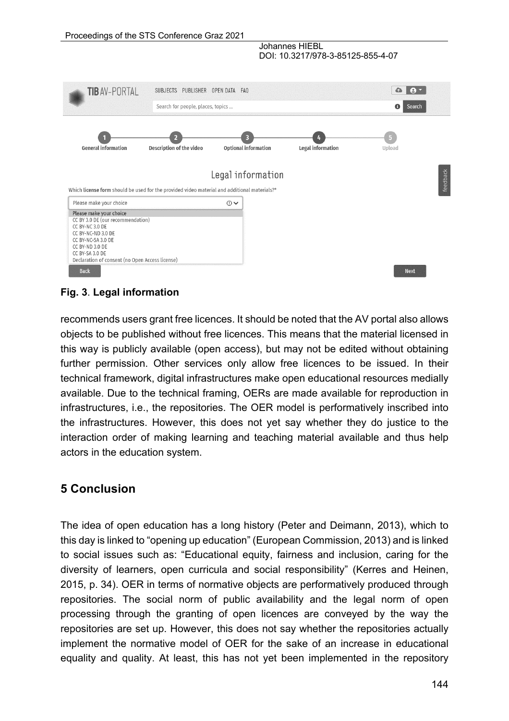

### **Fig. 3**. **Legal information**

recommends users grant free licences. It should be noted that the AV portal also allows objects to be published without free licences. This means that the material licensed in this way is publicly available (open access), but may not be edited without obtaining further permission. Other services only allow free licences to be issued. In their technical framework, digital infrastructures make open educational resources medially available. Due to the technical framing, OERs are made available for reproduction in infrastructures, i.e., the repositories. The OER model is performatively inscribed into the infrastructures. However, this does not yet say whether they do justice to the interaction order of making learning and teaching material available and thus help actors in the education system.

## **5 Conclusion**

The idea of open education has a long history (Peter and Deimann, 2013), which to this day is linked to "opening up education" (European Commission, 2013) and is linked to social issues such as: "Educational equity, fairness and inclusion, caring for the diversity of learners, open curricula and social responsibility" (Kerres and Heinen, 2015, p. 34). OER in terms of normative objects are performatively produced through repositories. The social norm of public availability and the legal norm of open processing through the granting of open licences are conveyed by the way the repositories are set up. However, this does not say whether the repositories actually implement the normative model of OER for the sake of an increase in educational equality and quality. At least, this has not yet been implemented in the repository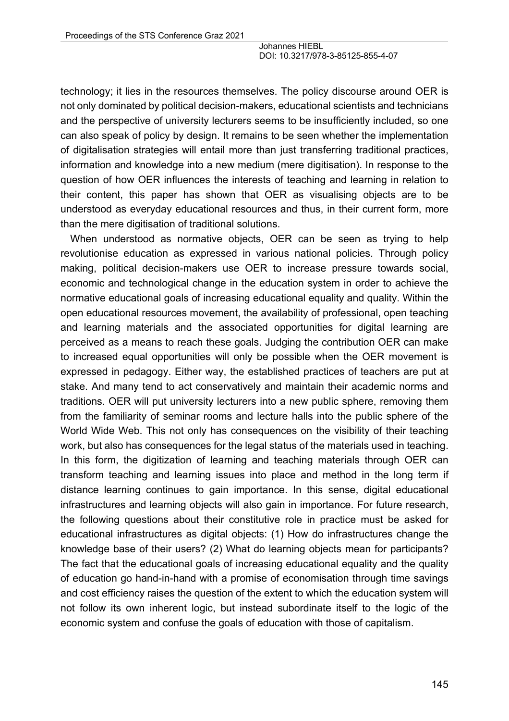technology; it lies in the resources themselves. The policy discourse around OER is not only dominated by political decision-makers, educational scientists and technicians and the perspective of university lecturers seems to be insufficiently included, so one can also speak of policy by design. It remains to be seen whether the implementation of digitalisation strategies will entail more than just transferring traditional practices, information and knowledge into a new medium (mere digitisation). In response to the question of how OER influences the interests of teaching and learning in relation to their content, this paper has shown that OER as visualising objects are to be understood as everyday educational resources and thus, in their current form, more than the mere digitisation of traditional solutions.

When understood as normative objects, OER can be seen as trying to help revolutionise education as expressed in various national policies. Through policy making, political decision-makers use OER to increase pressure towards social, economic and technological change in the education system in order to achieve the normative educational goals of increasing educational equality and quality. Within the open educational resources movement, the availability of professional, open teaching and learning materials and the associated opportunities for digital learning are perceived as a means to reach these goals. Judging the contribution OER can make to increased equal opportunities will only be possible when the OER movement is expressed in pedagogy. Either way, the established practices of teachers are put at stake. And many tend to act conservatively and maintain their academic norms and traditions. OER will put university lecturers into a new public sphere, removing them from the familiarity of seminar rooms and lecture halls into the public sphere of the World Wide Web. This not only has consequences on the visibility of their teaching work, but also has consequences for the legal status of the materials used in teaching. In this form, the digitization of learning and teaching materials through OER can transform teaching and learning issues into place and method in the long term if distance learning continues to gain importance. In this sense, digital educational infrastructures and learning objects will also gain in importance. For future research, the following questions about their constitutive role in practice must be asked for educational infrastructures as digital objects: (1) How do infrastructures change the knowledge base of their users? (2) What do learning objects mean for participants? The fact that the educational goals of increasing educational equality and the quality of education go hand-in-hand with a promise of economisation through time savings and cost efficiency raises the question of the extent to which the education system will not follow its own inherent logic, but instead subordinate itself to the logic of the economic system and confuse the goals of education with those of capitalism.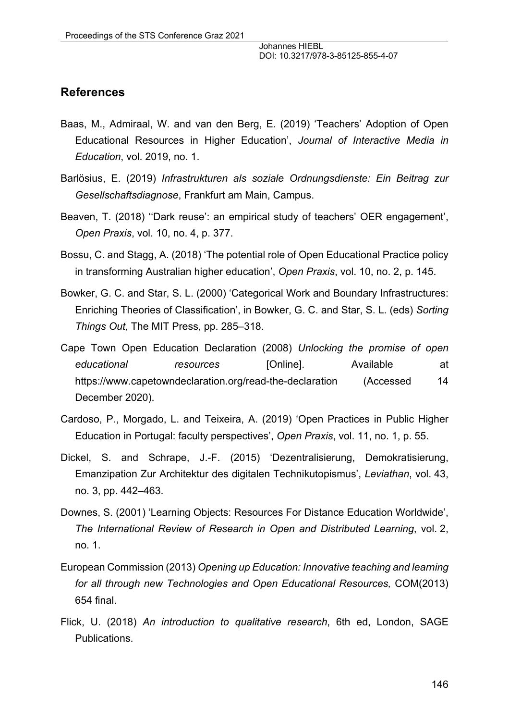### **References**

- Baas, M., Admiraal, W. and van den Berg, E. (2019) 'Teachers' Adoption of Open Educational Resources in Higher Education', *Journal of Interactive Media in Education*, vol. 2019, no. 1.
- Barlösius, E. (2019) *Infrastrukturen als soziale Ordnungsdienste: Ein Beitrag zur Gesellschaftsdiagnose*, Frankfurt am Main, Campus.
- Beaven, T. (2018) ''Dark reuse': an empirical study of teachers' OER engagement', *Open Praxis*, vol. 10, no. 4, p. 377.
- Bossu, C. and Stagg, A. (2018) 'The potential role of Open Educational Practice policy in transforming Australian higher education', *Open Praxis*, vol. 10, no. 2, p. 145.
- Bowker, G. C. and Star, S. L. (2000) 'Categorical Work and Boundary Infrastructures: Enriching Theories of Classification', in Bowker, G. C. and Star, S. L. (eds) *Sorting Things Out,* The MIT Press, pp. 285–318.
- Cape Town Open Education Declaration (2008) *Unlocking the promise of open educational resources* [Online]. Available at https://www.capetowndeclaration.org/read-the-declaration (Accessed 14 December 2020).
- Cardoso, P., Morgado, L. and Teixeira, A. (2019) 'Open Practices in Public Higher Education in Portugal: faculty perspectives', *Open Praxis*, vol. 11, no. 1, p. 55.
- Dickel, S. and Schrape, J.-F. (2015) 'Dezentralisierung, Demokratisierung, Emanzipation Zur Architektur des digitalen Technikutopismus', *Leviathan*, vol. 43, no. 3, pp. 442–463.
- Downes, S. (2001) 'Learning Objects: Resources For Distance Education Worldwide', *The International Review of Research in Open and Distributed Learning*, vol. 2, no. 1.
- European Commission (2013) *Opening up Education: Innovative teaching and learning for all through new Technologies and Open Educational Resources,* COM(2013) 654 final.
- Flick, U. (2018) *An introduction to qualitative research*, 6th ed, London, SAGE Publications.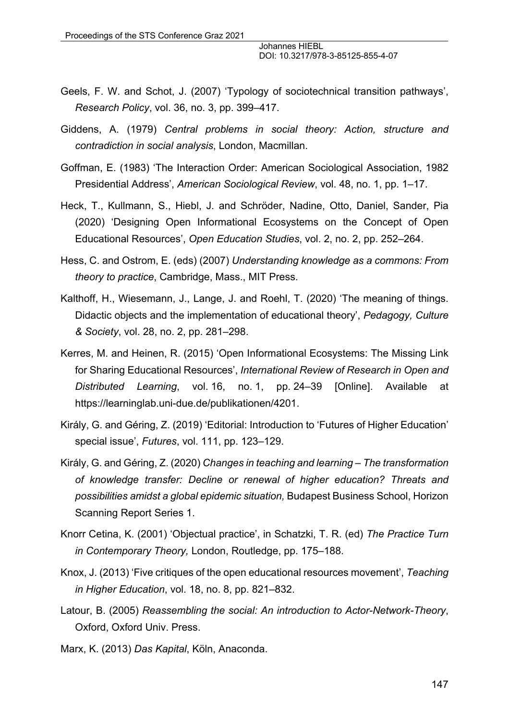- Geels, F. W. and Schot, J. (2007) 'Typology of sociotechnical transition pathways', *Research Policy*, vol. 36, no. 3, pp. 399–417.
- Giddens, A. (1979) *Central problems in social theory: Action, structure and contradiction in social analysis*, London, Macmillan.
- Goffman, E. (1983) 'The Interaction Order: American Sociological Association, 1982 Presidential Address', *American Sociological Review*, vol. 48, no. 1, pp. 1–17.
- Heck, T., Kullmann, S., Hiebl, J. and Schröder, Nadine, Otto, Daniel, Sander, Pia (2020) 'Designing Open Informational Ecosystems on the Concept of Open Educational Resources', *Open Education Studies*, vol. 2, no. 2, pp. 252–264.
- Hess, C. and Ostrom, E. (eds) (2007) *Understanding knowledge as a commons: From theory to practice*, Cambridge, Mass., MIT Press.
- Kalthoff, H., Wiesemann, J., Lange, J. and Roehl, T. (2020) 'The meaning of things. Didactic objects and the implementation of educational theory', *Pedagogy, Culture & Society*, vol. 28, no. 2, pp. 281–298.
- Kerres, M. and Heinen, R. (2015) 'Open Informational Ecosystems: The Missing Link for Sharing Educational Resources', *International Review of Research in Open and Distributed Learning*, vol. 16, no. 1, pp. 24–39 [Online]. Available at https://learninglab.uni-due.de/publikationen/4201.
- Király, G. and Géring, Z. (2019) 'Editorial: Introduction to 'Futures of Higher Education' special issue', *Futures*, vol. 111, pp. 123–129.
- Király, G. and Géring, Z. (2020) *Changes in teaching and learning – The transformation of knowledge transfer: Decline or renewal of higher education? Threats and possibilities amidst a global epidemic situation,* Budapest Business School, Horizon Scanning Report Series 1.
- Knorr Cetina, K. (2001) 'Objectual practice', in Schatzki, T. R. (ed) *The Practice Turn in Contemporary Theory,* London, Routledge, pp. 175–188.
- Knox, J. (2013) 'Five critiques of the open educational resources movement', *Teaching in Higher Education*, vol. 18, no. 8, pp. 821–832.
- Latour, B. (2005) *Reassembling the social: An introduction to Actor-Network-Theory*, Oxford, Oxford Univ. Press.
- Marx, K. (2013) *Das Kapital*, Köln, Anaconda.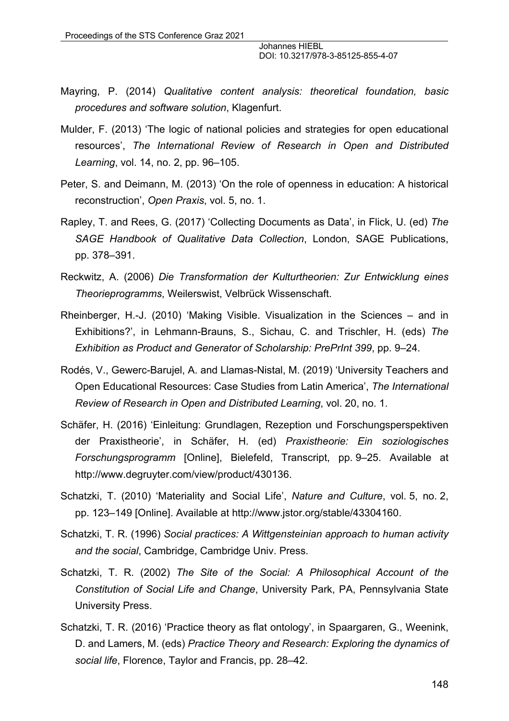- Mayring, P. (2014) *Qualitative content analysis: theoretical foundation, basic procedures and software solution*, Klagenfurt.
- Mulder, F. (2013) 'The logic of national policies and strategies for open educational resources', *The International Review of Research in Open and Distributed Learning*, vol. 14, no. 2, pp. 96–105.
- Peter, S. and Deimann, M. (2013) 'On the role of openness in education: A historical reconstruction', *Open Praxis*, vol. 5, no. 1.
- Rapley, T. and Rees, G. (2017) 'Collecting Documents as Data', in Flick, U. (ed) *The SAGE Handbook of Qualitative Data Collection*, London, SAGE Publications, pp. 378–391.
- Reckwitz, A. (2006) *Die Transformation der Kulturtheorien: Zur Entwicklung eines Theorieprogramms*, Weilerswist, Velbrück Wissenschaft.
- Rheinberger, H.-J. (2010) 'Making Visible. Visualization in the Sciences and in Exhibitions?', in Lehmann-Brauns, S., Sichau, C. and Trischler, H. (eds) *The Exhibition as Product and Generator of Scholarship: PrePrInt 399*, pp. 9–24.
- Rodés, V., Gewerc-Barujel, A. and Llamas-Nistal, M. (2019) 'University Teachers and Open Educational Resources: Case Studies from Latin America', *The International Review of Research in Open and Distributed Learning*, vol. 20, no. 1.
- Schäfer, H. (2016) 'Einleitung: Grundlagen, Rezeption und Forschungsperspektiven der Praxistheorie', in Schäfer, H. (ed) *Praxistheorie: Ein soziologisches Forschungsprogramm* [Online], Bielefeld, Transcript, pp. 9–25. Available at http://www.degruyter.com/view/product/430136.
- Schatzki, T. (2010) 'Materiality and Social Life', *Nature and Culture*, vol. 5, no. 2, pp. 123–149 [Online]. Available at http://www.jstor.org/stable/43304160.
- Schatzki, T. R. (1996) *Social practices: A Wittgensteinian approach to human activity and the social*, Cambridge, Cambridge Univ. Press.
- Schatzki, T. R. (2002) *The Site of the Social: A Philosophical Account of the Constitution of Social Life and Change*, University Park, PA, Pennsylvania State University Press.
- Schatzki, T. R. (2016) 'Practice theory as flat ontology', in Spaargaren, G., Weenink, D. and Lamers, M. (eds) *Practice Theory and Research: Exploring the dynamics of social life*, Florence, Taylor and Francis, pp. 28–42.